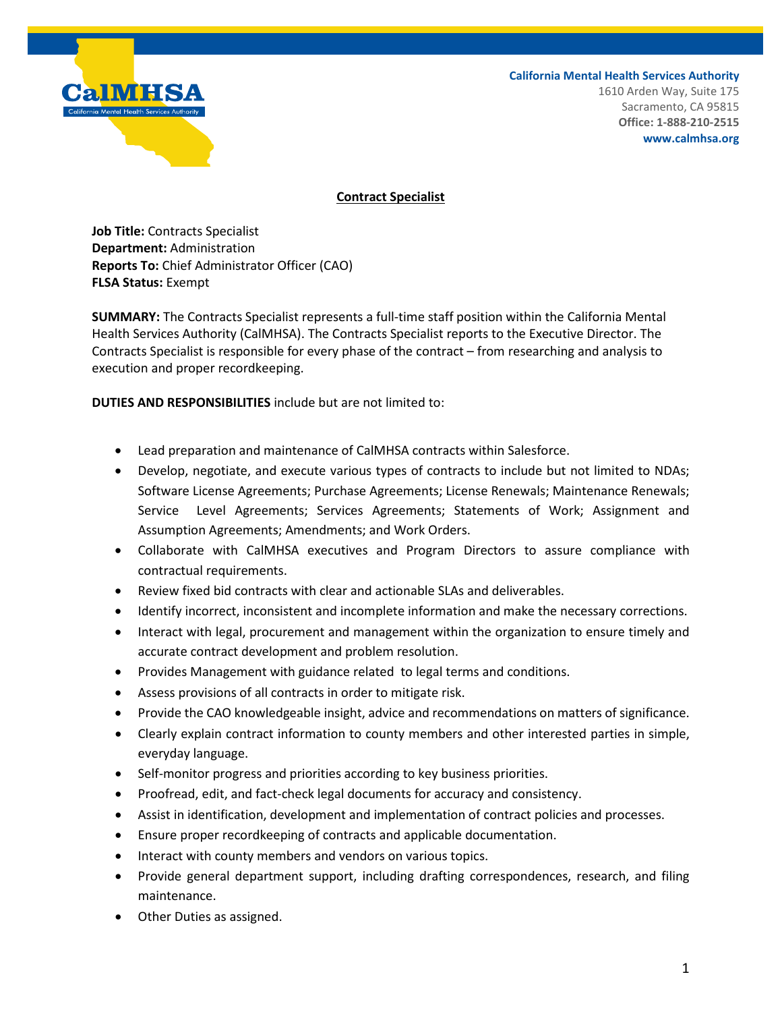

**California Mental Health Services Authority**

1610 Arden Way, Suite 175 Sacramento, CA 95815 **Office: 1-888-210-2515 www.calmhsa.org**

## **Contract Specialist**

**Job Title:** Contracts Specialist **Department:** Administration **Reports To:** Chief Administrator Officer (CAO) **FLSA Status:** Exempt

**SUMMARY:** The Contracts Specialist represents a full-time staff position within the California Mental Health Services Authority (CalMHSA). The Contracts Specialist reports to the Executive Director. The Contracts Specialist is responsible for every phase of the contract – from researching and analysis to execution and proper recordkeeping.

**DUTIES AND RESPONSIBILITIES** include but are not limited to:

- Lead preparation and maintenance of CalMHSA contracts within Salesforce.
- Develop, negotiate, and execute various types of contracts to include but not limited to NDAs; Software License Agreements; Purchase Agreements; License Renewals; Maintenance Renewals; Service Level Agreements; Services Agreements; Statements of Work; Assignment and Assumption Agreements; Amendments; and Work Orders.
- Collaborate with CalMHSA executives and Program Directors to assure compliance with contractual requirements.
- Review fixed bid contracts with clear and actionable SLAs and deliverables.
- Identify incorrect, inconsistent and incomplete information and make the necessary corrections.
- Interact with legal, procurement and management within the organization to ensure timely and accurate contract development and problem resolution.
- Provides Management with guidance related to legal terms and conditions.
- Assess provisions of all contracts in order to mitigate risk.
- Provide the CAO knowledgeable insight, advice and recommendations on matters of significance.
- Clearly explain contract information to county members and other interested parties in simple, everyday language.
- Self-monitor progress and priorities according to key business priorities.
- Proofread, edit, and fact-check legal documents for accuracy and consistency.
- Assist in identification, development and implementation of contract policies and processes.
- Ensure proper recordkeeping of contracts and applicable documentation.
- Interact with county members and vendors on various topics.
- Provide general department support, including drafting correspondences, research, and filing maintenance.
- Other Duties as assigned.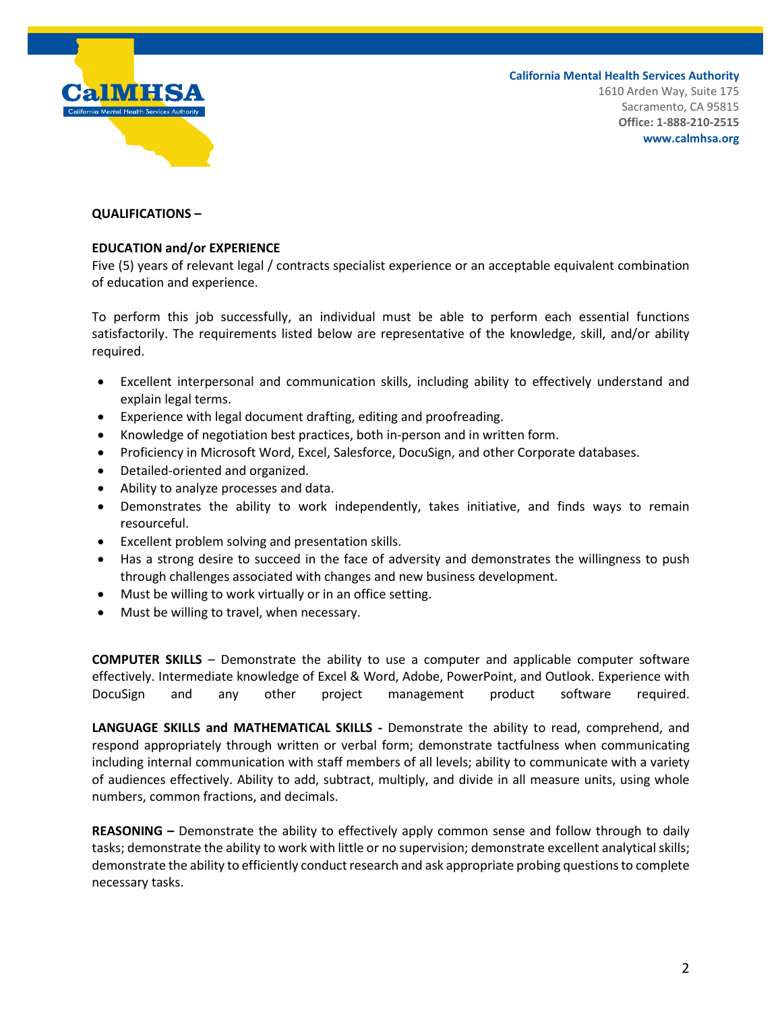

**California Mental Health Services Authority** 1610 Arden Way, Suite 175 Sacramento, CA 95815 **Office: 1-888-210-2515 www.calmhsa.org**

## **QUALIFICATIONS –**

## **EDUCATION and/or EXPERIENCE**

Five (5) years of relevant legal / contracts specialist experience or an acceptable equivalent combination of education and experience.

To perform this job successfully, an individual must be able to perform each essential functions satisfactorily. The requirements listed below are representative of the knowledge, skill, and/or ability required.

- Excellent interpersonal and communication skills, including ability to effectively understand and explain legal terms.
- Experience with legal document drafting, editing and proofreading.
- Knowledge of negotiation best practices, both in-person and in written form.
- Proficiency in Microsoft Word, Excel, Salesforce, DocuSign, and other Corporate databases.
- Detailed-oriented and organized.
- Ability to analyze processes and data.
- Demonstrates the ability to work independently, takes initiative, and finds ways to remain resourceful.
- Excellent problem solving and presentation skills.
- Has a strong desire to succeed in the face of adversity and demonstrates the willingness to push through challenges associated with changes and new business development.
- Must be willing to work virtually or in an office setting.
- Must be willing to travel, when necessary.

**COMPUTER SKILLS** – Demonstrate the ability to use a computer and applicable computer software effectively. Intermediate knowledge of Excel & Word, Adobe, PowerPoint, and Outlook. Experience with DocuSign and any other project management product software required.

**LANGUAGE SKILLS and MATHEMATICAL SKILLS -** Demonstrate the ability to read, comprehend, and respond appropriately through written or verbal form; demonstrate tactfulness when communicating including internal communication with staff members of all levels; ability to communicate with a variety of audiences effectively. Ability to add, subtract, multiply, and divide in all measure units, using whole numbers, common fractions, and decimals.

**REASONING –** Demonstrate the ability to effectively apply common sense and follow through to daily tasks; demonstrate the ability to work with little or no supervision; demonstrate excellent analytical skills; demonstrate the ability to efficiently conduct research and ask appropriate probing questions to complete necessary tasks.